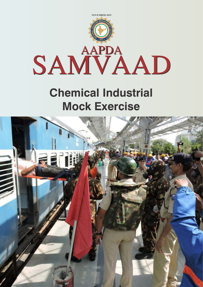

## **Chemical Industrial Mock Exercise**

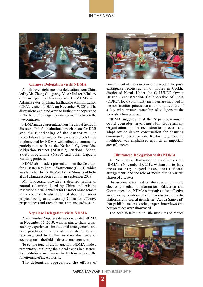#### IN THE NEWS



#### **Chinese Delegation visits NDMA**

Ahigh-level eight-member delegation from China led by Mr. Zheng Guoguang, Vice Minister, Ministry of Emergency Management (MEM) and Administrator of China Earthquake Administration (CEA), visited NDMA on November 9, 2019. The discussions explored ways to further the cooperation in the field of emergency management between the two countries. NDMA suggested that the Nepal Government

NDMAmade a presentation on the global trends in disasters, India's institutional mechanism for DRR and the functioning of the Authority. The presentation also covered the various projects being implemented by NDMA with effective community participation such as the National Cyclone Risk Mitigation Project (NCRMP), National School Safety Programme (NSSP) and other Capacity Building projects.

NDMA also made a presentation on the Coalition for Disaster Resilient Infrastructure (CDRI), which was launched by the Hon'ble Prime Minister of India at UN Climate Action Summit in September 2019.

Mr. Guoguang provided a detailed profile of natural calamities faced by China and existing institutional arrangements for Disaster Management in the country. He also informed about the various projects being undertaken by China for effective preparedness and strengthened response to disasters.

#### **Nepalese Delegation visits NDMA**

A 20-member Nepalese delegation visited NDMA on November 15, 2019, with an aim to share crosscountry experiences, institutional arrangements and best practices in areas of reconstruction and recovery, and to further explore the areas of cooperation in the field of disaster management.

To set the tone of the interaction, NDMA made a presentation outlining the global trends in disasters, the institutional mechanism for DRR in India and the functioning of the Authority.

The delegation appreciated the efforts of



Government of India in providing support for postearthquake reconstruction of houses in Gorkha district of Nepal. Under the GoI-UNDP Owner Driven Reconstruction Collaborative of India (ODRC), local community members are involved in the construction process so as to built a culture of safety with greater ownership of villagers in the reconstruction process.

could consider involving Non Government Organisations in the reconstruction process and adapt owner driven construction for ensuring community participation. Restoring/generating livelihood was emphasised upon as an important area of concern.

#### **Bhutanese Delegation visits NDMA**

A 15-member Bhutanese delegation visited NDMAon November 18, 2019, with an aim to share cross-country experiences, institutional arrangements and the role of media during various phases of disasters.

Discussions were held on the role of print and electronic media in Information, Education and Communication. NDMA's initiatives for effective awareness generation through various social media platforms and digital newsletter "Aapda Samvaad" that publish success stories, expert interviews and best practices were showcased.

The need to take up holistic measures to reduce

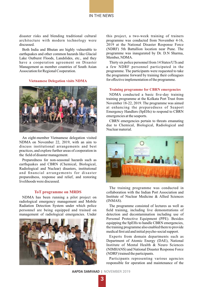

disaster risks and blending traditional cultural architecture with modern technology were discussed.

Both India and Bhutan are highly vulnerable to earthquakes and other common hazards like Glacial Lake Outburst Floods, Landslides, etc., and they have a cooperation agreement on Disaster Management as member countries of South Asian Association for Regional Cooperation.

#### **Vietnamese Delegation visits NDMA**



An eight-member Vietnamese delegation visited NDMA on November 22, 2019, with an aim to discuss institutional arrangements and best practices, and explore further areas of cooperation in the field of disaster management.

Preparedness for non-seasonal hazards such as earthquakes and CBRN (Chemical, Biological, Radiological and Nuclear) disasters, institutional and financial arrangements for disaster preparedness, response and relief, and restoring livelihoods were discussed.

#### **ToT programme on MRDS**

NDMA has been running a pilot project on radiological emergency management and Mobile Radiation Detection System under which police personnel are being equipped and trained on management of radiological emergencies. Under



this project, a two-week training of trainers programme was conducted from November 4-16, 2019 at the National Disaster Response Force (NDRF) 5th Battallion location near Pune. The programme was inaugurated by Dr. D.N Sharma, Member, NDMA.

Thirty six police personnel from 14 States/UTs and a few NDRF personnel participated in the programme. The participants were requested to take the programme forward by training their colleagues for effective implementation of the programme.

#### **Training programme for CBRN emergencies**

NDMA conducted a basic five-day training training programme at the Kolkata Port Trust from November 18-22, 2019. The programme was aimed at enhancing the preparedness of Seaport Emergency Handlers (SpEHs) to respond to CBRN emergencies at the seaports.

CBRN emergencies pertain to threats emanating due to Chemical, Biological, Radiological and Nuclear material.



The training programme was conducted in collaboration with the Indian Port Association and Institute of Nuclear Medicine & Allied Sciences (INMAS).

The programme consisted of lectures as well as field training, including live demonstrations of detection and decontamination including use of Personal Protective Equipment (PPE). Besides equipping the SpEHs to handle CBRN emergencies, the training programme also enabled them to provide medical first aid and initial psycho-social support.

Experts from domain departments such as Department of Atomic Energy (DAE), National Institute of Mental Health & Neuro Sciences (NIMHANS) and National Disaster Response Force (NDRF) trained the participants.

Participants representing various agencies responsible for operation and maintenance of the

**AAPDA SAMVAAD** | NOVEMBER 2019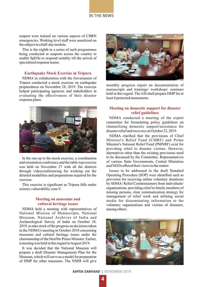

seaport were trained on various aspects of CBRN emergencies. Working level staff were sensitized on the subject in a half-day module.

This is the eighth in a series of such programmes being conducted at seaports across the country to enable SpEHs to respond suitably till the arrival of specialised response teams.

#### **Earthquake Mock Exercise in Tripura**

NDMA in collaboration with the Government of Tripura conducted a mock exercise on earthquake preparedness on November 28, 2019. The exercise helped participating agencies and stakeholders in evaluating the effectiveness of their disaster response plans.



In the run-up to the mock exercise, a coordination and orientation conference and the table-top exercise was held on November 27 with all the districts through videoconferencing for working out the detailed modalities and preparations required for the exercise.

This exercise is significant as Tripura falls under seismic vulnerability zone V.

#### **Meeting on museums and cultural heritage issues**

NDMA held a meeting with representatives of National Mission of Manuscripts, National Museum, National Archives of India and Archaeological Survey of India on October 24, 2019, to take stock of the progress on decisions taken in the NDMA's meeting in October 2018 concerning museums and cultural heritage issues under the chairmanship of the Hon'ble Prime Minister. Earlier, a meeting was held in this regard in August 2019.

It was decided that the National Museum will prepare a draft Disaster Management Plan for the Museum, which will serve as a model for preparation of DMP for other museums. The NMM will give



monthly progress report on documentation of manuscripts and trainings/ workshops/ seminars held in this regard. The ASI shall prepare DMP for at least 4 protected monuments.

#### **Meeting on domestic support for disaster relief guidelines**

NDMA conducted a meeting of the expert committee for formulating policy guidelines on channelising domestic support/assistance for disaster relief and recovery on October 22, 2019.

NDMA clarified that the provisions of Chief Minister's Relief Fund (CMRF) and Prime Minister's National Relief Fund (PMNRF) exist for providing relief to disaster victims. However, alternatives other than the existing provisions need to be discussed by the Committee. Representatives of various State Governments, Central Ministries and NGOs offered their views in the matter.

Issues to be addressed in the draft Standard Operating Procedure (SOP) were identified such as provision for receiving online voluntary donations by SDMA/ Relief Commissioners from individuals/ organizations, providing relief to family members of missing persons, clear communication strategy for management of relief work and utilising social media for disseminating information to the voluntary organizations and victims of disasters, among others.

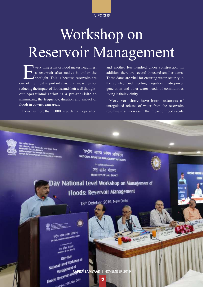IN FOCUS

# Workshop on Reservoir Management

very time a major flood makes headlines,<br>a reservoir also makes it under the spotlight. This is because reservoirs are one of the most important structural measures for reducing the impact of floods, and their well thoughtout operationalization is a pre-requisite to minimizing the frequency, duration and impact of floods in downstream areas.

and another few hundred under construction. In addition, there are several thousand smaller dams. These dams are vital for ensuring water security in the country; and meeting irrigation, hydropower generation and other water needs of communities living in their vicinity.

Moreover, there have been instances of unregulated release of water from the reservoirs India has more than 5,000 large dams in operation resulting in an increase in the impact of flood events

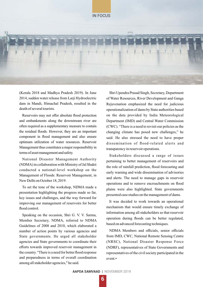



(Kerala 2018 and Madhya Pradesh 2019). In June 2014, sudden water release from Larji Hydroelectric dam in Mandi, Himachal Pradesh, resulted in the death of several tourists.

Reservoirs may not offer absolute flood protection and embankments along the downstream river are often required as a supplementary measure to contain the residual floods. However, they are an important component in flood management and also ensure optimum utilization of water resources. Reservoir Management thus constitutes a major responsibility in terms of asset management and safety.

National Disaster Management Authority (NDMA) in collaboration with Ministry of Jal Shakti conducted a national-level workshop on the Management of Floods: Reservoir Management, in New Delhi on October 18, 2019.

To set the tone of the workshop, NDMA made a presentation highlighting the progress made so far, key issues and challenges, and the way forward for improving our management of reservoirs for better flood control.

Speaking on the occasion, Shri G. V. V. Sarma, Member Secretary, NDMA, referred to NDMA Guidelines of 2008 and 2010, which elaborated a number of action points by various agencies and State governments. He urged all stakeholder agencies and State governments to coordinate their efforts towards improved reservoir management in the country. "There is a need for better flood response and preparedness in terms of overall coordination among all stakeholder agencies," he said.

Shri Upendra Prasad Singh, Secretary, Department of Water Resources, River Development and Ganga Rejuvenation emphasized the need for judicious operationalization of dams by State authorities based on the data provided by India Meteorological Department (IMD) and Central Water Commission (CWC). "There is a need to revisit our policies as the changing climate has posed new challenges," he said. He also stressed the need to have proper dissemination of flood-related alerts and transparency in reservoir operations.

Stakeholders discussed a range of issues pertaining to better management of reservoirs and the role of rainfall prediction, flood forecasting and early warning and wide dissemination of advisories and alerts. The need to manage gaps in reservoir operations and to remove encroachments on flood plains were also highlighted. State governments presented case studies on the management of dams.

It was decided to work towards an operational mechanism that would ensure timely exchange of information among all stakeholders so that reservoir operation during floods can be better regulated, based on advanced forecasting techniques.

NDMA Members and officials, senior officials from IMD, CWC, National Remote Sensing Centre (NRSC), National Disaster Response Force (NDRF), representatives of State Governments and representatives of the civil society participated in the event.•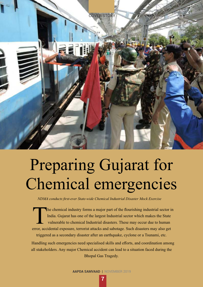

# Preparing Gujarat for Chemical emergencies

*NDMA conducts first-ever State-wide Chemical Industrial Disaster Mock Exercise* 

he chemical industry forms a major part of the flourishing industrial sector in India. Gujarat has one of the largest Industrial sector which makes the State vulnerable to chemical Industrial disasters. These may occur due to human error, accidental exposure, terrorist attacks and sabotage. Such disasters may also get triggered as a secondary disaster after an earthquake, cyclone or a Tsunami, etc.

Handling such emergencies need specialised skills and efforts, and coordination among all stakeholders. Any major Chemical accident can lead to a situation faced during the Bhopal Gas Tragedy.

**AAPDA SAMVAAD** | NOVEMBER 2019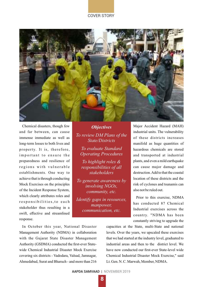#### COVER STORY



Chemical disasters, though few and far between, can cause immense immediate as well as long-term losses to both lives and property. It is, therefore, important to ensure the preparedness and resilience of regions with vulnerable establishments. One way to achieve that is through conducting Mock Exercises on the principles of the Incident Response System, which clearly attributes roles and r e sponsibilities, to each stakeholder thus resulting in a swift, effective and streamlined response.

*To highlight roles & responsibilities of all stakeholders To generate awareness by involving NGOs, community, etc. Objectives To review DM Plans of the State/Districts To evaluate Standard Operating Procedures*

*Identify gaps in resources, manpower, communication, etc.*

Major Accident Hazard (MAH) industrial units. The vulnerability of these districts increases manifold as huge quantities of hazardous chemicals are stored and transported at industrial plants, and even a mild earthquake can cause major damage and destruction. Add to that the coastal location of these districts and the risk of cyclones and tsunamis can also not be ruled out.

Prior to this exercise, NDMA has conducted 87 Chemical Industrial exercises across the country. "NDMA has been constantly striving to upgrade the

In October this year, National Disaster Management Authority (NDMA) in collaboration with the Gujarat State Disaster Management Authority (GSDMA) conducted the first-ever Statewide Chemical Industrial Disaster Mock Exercise covering six districts - Vadodara, Valsad, Jamnagar, Ahmedabad, Surat and Bharuch - and more than 216 capacities at the State, multi-State and national levels. Over the years, we upscaled these exercises that we had started at the industry level, graduated to industrial areas and then to the district level. We have now conducted our first-ever State-level wide Chemical Industrial Disaster Mock Exercise," said Lt. Gen. N. C. Marwah, Member, NDMA.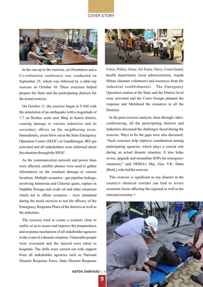#### COVER STORY



In the run-up to the exercise, an Orientation and a Co-ordination conference was conducted on September 25, which was followed by a table-top exercise on October 10. These exercises helped prepare the State and the participating districts for the actual exercise.

On October 11, the exercise began at 9 AM with the simulation of an earthquake with a magnitude of 7.7 on Richter scale near Bhuj in Kutch district, causing damage to various industries and its secondary effects on the neighboring areas. Immediately, sirens blew out at the State Emergency Operation Centre (SEOC) at Gandhinagar, IRS got activated and all stakeholders were informed about the situation through the SEOC.

As the communication network and power lines were affected, satellite phones were used to gather information on the resultant damage at various locations. Multiple scenarios - gas pipeline leakage, involving Ammonia and Chlorine gases, rupture in Naphtha Storage and crude oil and other situations which led to offsite scenarios - were simulated during the mock exercise to test the efficacy of the Emergency Response Plans of the districts as well as the industries.

The exercise tried to create a scenario close to reality so as to assess and improve the preparedness and response mechanism of all stakeholder agencies in the event of a disaster situation. Vulnerable people were evacuated and the injured were taken to hospitals. The drills were carried out with support from all stakeholder agencies such as National Disaster Response Force, State Disaster Response



Force, Police, Army, Air Force, Navy, Coast Guard, health department, local administration, Aapda Mitras (disaster volunteers) and resources from the industrial establishments. The Emergency Operation centres at the State and the District level were activated and the Crisis Groups planned the response and Mobilised the resources in all the Districts.

In the post-exercise analysis, done through videoconferencing, all the participating districts and Industries discussed the challenges faced during the exercise. Ways to fix the gaps were also discussed. "Such exercises help improve coordination among participating agencies, which plays a crucial role during an actual disaster situation. It also helps revise, upgrade and streamline SOPs for emergency situations," said NDMA's Maj. Gen. V.K. Datta (Retd.), who led the exercise.

This exercise is significant as any disaster in the country's chemical corridor can lead to severe economic losses affecting the regional as well as the national economy. •



**AAPDA SAMVAAD | N**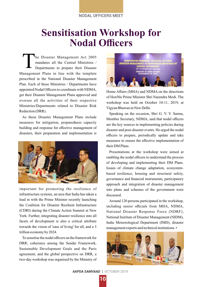#### NODAL OFFICERS MEET

### **Sensitisation Workshop for Nodal Officers**

T he Disaster Management Act 2005 mandates all the Central Ministries / Departments to prepare their Disaster Management Plans in line with the template prescribed in the National Disaster Management Plan. Each of these Ministries / Departments have appointed Nodal Officers to coordinate with NDMA, get their Disaster Management Plans approved and oversee all the activities of their respective Ministries/Departments related to Disaster Risk Reduction (DRR).

As these Disaster Management Plans include measures for mitigation, preparedness capacity building and response for effective management of disasters, their preparation and implementation is



important for promoting the resilience of infrastructure systems, an area that India has taken a lead in with the Prime Minister recently launching the Coalition for Disaster Resilient Infrastructure (CDRI) during the Climate Action Summit at New York. Further, integrating disaster resilience into all facets of development is also a critical attribute towards the vision of 'ease of living' for all, and a 5 trillion economy by 2024.

To sensitise the nodal officers on the framework for DRR; coherence among the Sendai Framework, Sustainable Development Goals and the Paris agreement; and the global perspective on DRR, a two-day workshop was organised by the Ministry of



Home Affairs (MHA) and NDMA on the directions of Hon'ble Prime Minister Shri Narendra Modi. The workshop was held on October 10-11, 2019, at Vigyan Bhawan in New Delhi.

Speaking on the occasion, Shri G. V. V. Sarma, Member Secretary, NDMA, said that nodal officers are the key sources in implementing policies during disaster and post-disaster events. He urged the nodal officers to prepare, periodically update and take measures to ensure the effective implementation of their DM Plans.

Presentations at the workshop were aimed at enabling the nodal officers to understand the process of developing and implementing their DM Plans. Issues of climate change adaptation, ecosystembased resilience, housing and structural safety, governance and financial instruments, participatory approach and integration of disaster management into plans and schemes of the government were discussed.

Around 120 persons participated in the workshop, including senior officials from MHA, NDMA, National Disaster Response Force (NDRF), National Institute of Disaster Management (NIDM), India Meteorological Department (IMD), disaster management experts and technical institutions. •